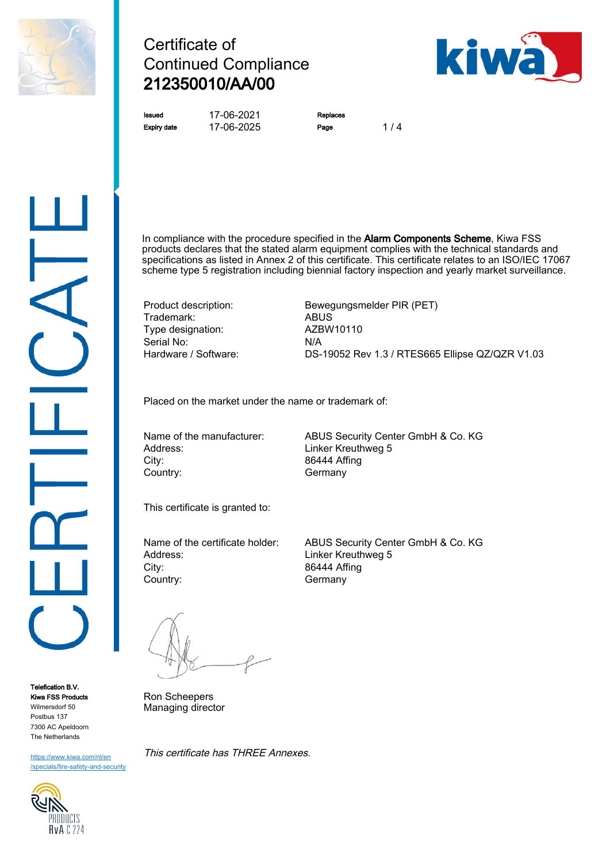

# Certificate of Continued Compliance 212350010/AA/00



Issued 17-06-2021 Replaces Expiry date 17-06-2025 Page 1/4

In compliance with the procedure specified in the **Alarm Components Scheme**, Kiwa FSS products declares that the stated alarm equipment complies with the technical standards and specifications as listed in Annex 2 of this certificate. This certificate relates to an ISO/IEC 17067 scheme type 5 registration including biennial factory inspection and yearly market surveillance.

Trademark: ABUS<br>Type designation: AZBW10110 Type designation: Serial No: N/A

Product description: Bewegungsmelder PIR (PET) Hardware / Software: DS-19052 Rev 1.3 / RTES665 Ellipse QZ/QZR V1.03

Placed on the market under the name or trademark of:

Address: Linker Kreuthweg 5 City: 86444 Affing Country: Germany

Name of the manufacturer: ABUS Security Center GmbH & Co. KG

This certificate is granted to:

Address: Linker Kreuthweg 5 City: 86444 Affing Country: Germany

Name of the certificate holder: ABUS Security Center GmbH & Co. KG

Ron Scheepers Managing director

This certificate has THREE Annexes.



[https://www.kiwa.com/nl/en](https://www.kiwa.com/nl/en/specials/fire-safety-and-security/) [/specials/fire-safety-and-security](https://www.kiwa.com/nl/en/specials/fire-safety-and-security/)

Telefication B.V. Kiwa FSS Products Wilmersdorf 50 Postbus 137 7300 AC Apeldoorn The Netherlands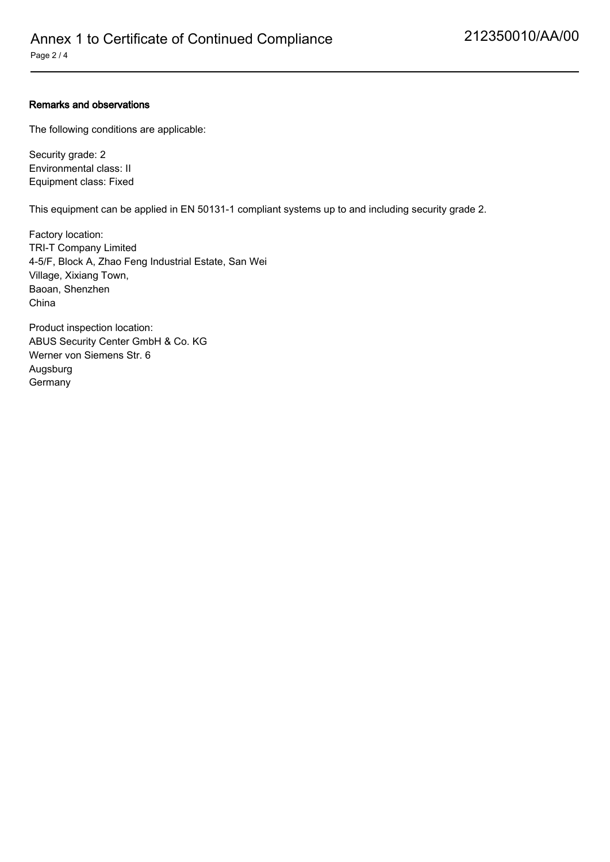### Remarks and observations

The following conditions are applicable:

Security grade: 2 Environmental class: II Equipment class: Fixed

This equipment can be applied in EN 50131-1 compliant systems up to and including security grade 2.

Factory location: TRI-T Company Limited 4-5/F, Block A, Zhao Feng Industrial Estate, San Wei Village, Xixiang Town, Baoan, Shenzhen China

Product inspection location: ABUS Security Center GmbH & Co. KG Werner von Siemens Str. 6 Augsburg Germany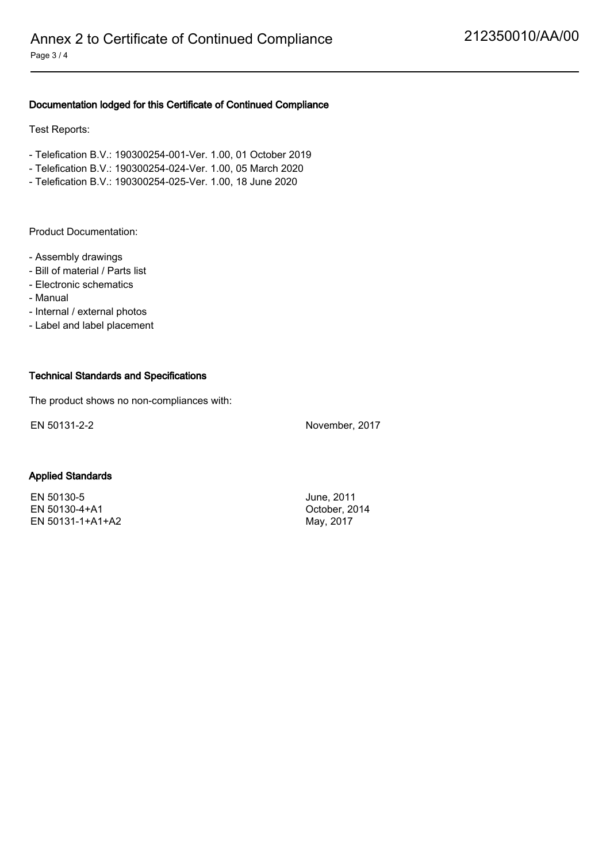## Documentation lodged for this Certificate of Continued Compliance

Test Reports:

- Telefication B.V.: 190300254-001-Ver. 1.00, 01 October 2019
- Telefication B.V.: 190300254-024-Ver. 1.00, 05 March 2020
- Telefication B.V.: 190300254-025-Ver. 1.00, 18 June 2020

Product Documentation:

- Assembly drawings
- Bill of material / Parts list
- Electronic schematics
- Manual
- Internal / external photos
- Label and label placement

#### Technical Standards and Specifications

The product shows no non-compliances with:

EN 50131-2-2 November, 2017

#### Applied Standards

EN 50130-5 June, 2011 EN 50130-4+A1 October, 2014 EN 50131-1+A1+A2 May, 2017